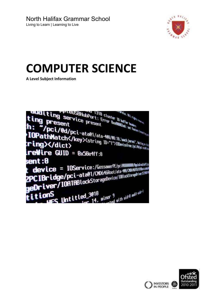

# **COMPUTER SCIENCE**

**A Level Subject Information**



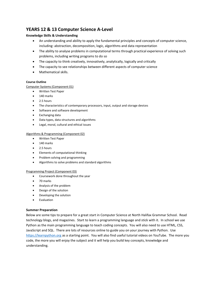# **YEARS 12 & 13 Computer Science A-Level**

## **Knowledge Skills & Understanding**

- An understanding and ability to apply the fundamental principles and concepts of computer science, including: abstraction, decomposition, logic, algorithms and data representation
- The ability to analyse problems in computational terms through practical experience of solving such problems, including writing programs to do so
- The capacity to think creatively, innovatively, analytically, logically and critically
- The capacity to see relationships between different aspects of computer science
- Mathematical skills.

### **Course Outline**

Computer Systems (Component 01)

- Written Test Paper
- 140 marks
- $\bullet$  2.5 hours
- The characteristics of contemporary processors, input, output and storage devices
- Software and software development
- Exchanging data
- Data types, data structures and algorithms
- Legal, moral, cultural and ethical issues

#### Algorithms & Programming (Component 02)

- Written Test Paper
- 140 marks
- $\bullet$  2.5 hours
- Elements of computational thinking
- Problem solving and programming
- Algorithms to solve problems and standard algorithms

#### Programming Project (Component 03)

- Coursework done throughout the year
- 70 marks
- Analysis of the problem
- Design of the solution
- Developing the solution
- Evaluation

#### **Summer Preparation**

Below are some tips to prepare for a great start in Computer Science at North Halifax Grammar School. Read technology blogs, and magazines. Start to learn a programming language and stick with it. In school we use Python as the main programming language to teach coding concepts. You will also need to use HTML, CSS, JavaScript and SQL. There are lots of resources online to guide you on your journey with Python. Use [https://learnpython.org](https://learnpython.org/) as a starting point. You will also find useful tutorial videos on YouTube. The more you code, the more you will enjoy the subject and it will help you build key concepts, knowledge and understanding.